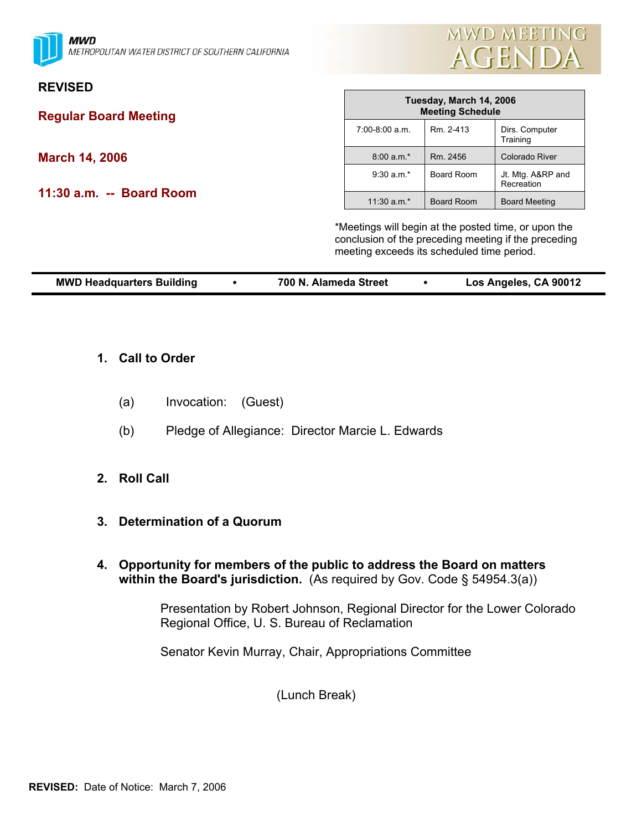**MWD** METROPOLITAN WATER DISTRICT OF SOUTHERN CALIFORNIA



#### **REVISED**

**Regular Board Meeting** 

**March 14, 2006** 

**11:30 a.m. -- Board Room** 

|                  | Tuesday, March 14, 2006<br><b>Meeting Schedule</b> |                                 |  |  |  |  |
|------------------|----------------------------------------------------|---------------------------------|--|--|--|--|
| $7:00-8:00$ a.m. | Rm. 2-413                                          | Dirs. Computer<br>Training      |  |  |  |  |
| $8:00 a.m.*$     | Rm. 2456                                           | <b>Colorado River</b>           |  |  |  |  |
| $9:30$ a.m.*     | Board Room                                         | Jt. Mtg. A&RP and<br>Recreation |  |  |  |  |
| $11:30$ a.m.*    | <b>Board Room</b>                                  | <b>Board Meeting</b>            |  |  |  |  |

\*Meetings will begin at the posted time, or upon the conclusion of the preceding meeting if the preceding meeting exceeds its scheduled time period.

|  | <b>MWD Headquarters Building</b> |  | 700 N. Alameda Street |  | Los Angeles, CA 90012 |
|--|----------------------------------|--|-----------------------|--|-----------------------|
|--|----------------------------------|--|-----------------------|--|-----------------------|

- **1. Call to Order**
	- (a) Invocation: (Guest)
	- (b) Pledge of Allegiance: Director Marcie L. Edwards
- **2. Roll Call**
- **3. Determination of a Quorum**
- **4. Opportunity for members of the public to address the Board on matters within the Board's jurisdiction.** (As required by Gov. Code § 54954.3(a))

Presentation by Robert Johnson, Regional Director for the Lower Colorado Regional Office, U. S. Bureau of Reclamation

Senator Kevin Murray, Chair, Appropriations Committee

(Lunch Break)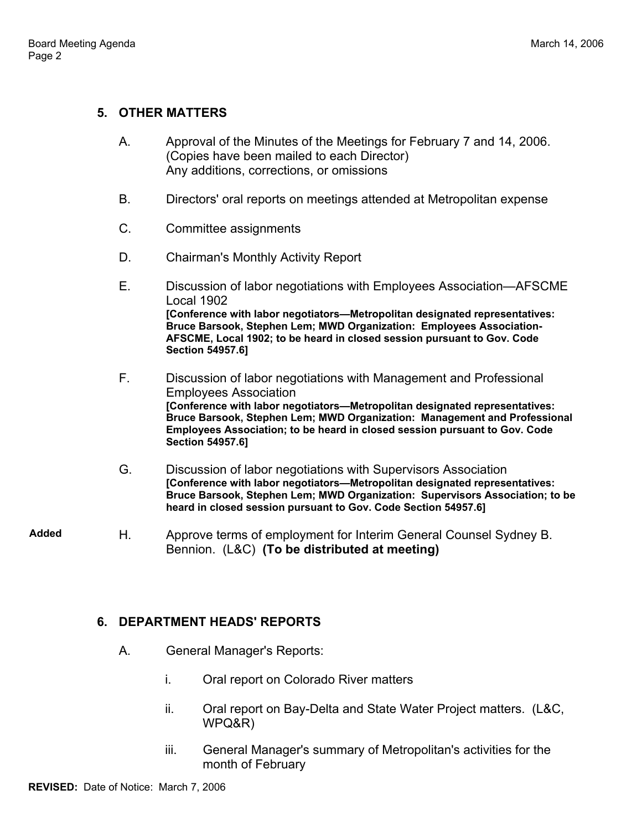### **5. OTHER MATTERS**

- A. Approval of the Minutes of the Meetings for February 7 and 14, 2006. (Copies have been mailed to each Director) Any additions, corrections, or omissions
- B. Directors' oral reports on meetings attended at Metropolitan expense
- C. Committee assignments
- D. Chairman's Monthly Activity Report
- E. Discussion of labor negotiations with Employees Association—AFSCME Local 1902 **[Conference with labor negotiators—Metropolitan designated representatives: Bruce Barsook, Stephen Lem; MWD Organization: Employees Association-AFSCME, Local 1902; to be heard in closed session pursuant to Gov. Code Section 54957.6]**
- F. Discussion of labor negotiations with Management and Professional Employees Association **[Conference with labor negotiators—Metropolitan designated representatives: Bruce Barsook, Stephen Lem; MWD Organization: Management and Professional Employees Association; to be heard in closed session pursuant to Gov. Code Section 54957.6]**
- G. Discussion of labor negotiations with Supervisors Association **[Conference with labor negotiators—Metropolitan designated representatives: Bruce Barsook, Stephen Lem; MWD Organization: Supervisors Association; to be heard in closed session pursuant to Gov. Code Section 54957.6]**
- **Added** H. Approve terms of employment for Interim General Counsel Sydney B. Bennion. (L&C) **(To be distributed at meeting)**

### **6. DEPARTMENT HEADS' REPORTS**

- A. General Manager's Reports:
	- i. Oral report on Colorado River matters
	- ii. Oral report on Bay-Delta and State Water Project matters. (L&C, WPQ&R)
	- iii. General Manager's summary of Metropolitan's activities for the month of February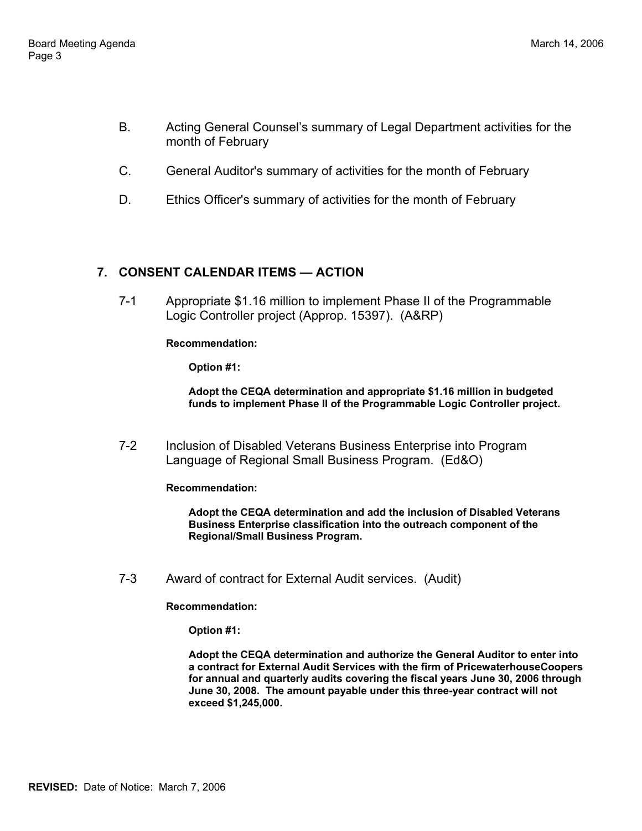- B. Acting General Counsel's summary of Legal Department activities for the month of February
- C. General Auditor's summary of activities for the month of February
- D. Ethics Officer's summary of activities for the month of February

# **7. CONSENT CALENDAR ITEMS — ACTION**

7-1 Appropriate \$1.16 million to implement Phase II of the Programmable Logic Controller project (Approp. 15397). (A&RP)

#### **Recommendation:**

**Option #1:** 

**Adopt the CEQA determination and appropriate \$1.16 million in budgeted funds to implement Phase II of the Programmable Logic Controller project.**

7-2 Inclusion of Disabled Veterans Business Enterprise into Program Language of Regional Small Business Program. (Ed&O)

**Recommendation:** 

**Adopt the CEQA determination and add the inclusion of Disabled Veterans Business Enterprise classification into the outreach component of the Regional/Small Business Program.**

7-3 Award of contract for External Audit services. (Audit)

**Recommendation:** 

**Option #1:** 

**Adopt the CEQA determination and authorize the General Auditor to enter into a contract for External Audit Services with the firm of PricewaterhouseCoopers for annual and quarterly audits covering the fiscal years June 30, 2006 through June 30, 2008. The amount payable under this three-year contract will not exceed \$1,245,000.**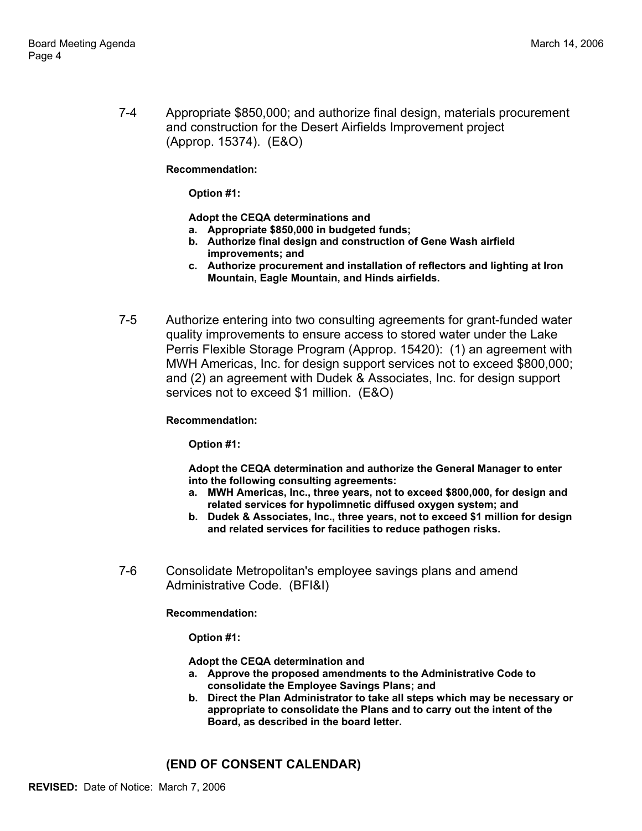7-4 Appropriate \$850,000; and authorize final design, materials procurement and construction for the Desert Airfields Improvement project (Approp. 15374). (E&O)

**Recommendation:** 

**Option #1:** 

**Adopt the CEQA determinations and**

- **a. Appropriate \$850,000 in budgeted funds;**
- **b. Authorize final design and construction of Gene Wash airfield improvements; and**
- **c. Authorize procurement and installation of reflectors and lighting at Iron Mountain, Eagle Mountain, and Hinds airfields.**
- 7-5 Authorize entering into two consulting agreements for grant-funded water quality improvements to ensure access to stored water under the Lake Perris Flexible Storage Program (Approp. 15420): (1) an agreement with MWH Americas, Inc. for design support services not to exceed \$800,000; and (2) an agreement with Dudek & Associates, Inc. for design support services not to exceed \$1 million. (E&O)

#### **Recommendation:**

**Option #1:** 

**Adopt the CEQA determination and authorize the General Manager to enter into the following consulting agreements:**

- **a. MWH Americas, Inc., three years, not to exceed \$800,000, for design and related services for hypolimnetic diffused oxygen system; and**
- **b. Dudek & Associates, Inc., three years, not to exceed \$1 million for design and related services for facilities to reduce pathogen risks.**
- 7-6 Consolidate Metropolitan's employee savings plans and amend Administrative Code. (BFI&I)

**Recommendation:** 

**Option #1:** 

**Adopt the CEQA determination and** 

- **a. Approve the proposed amendments to the Administrative Code to consolidate the Employee Savings Plans; and**
- **b. Direct the Plan Administrator to take all steps which may be necessary or appropriate to consolidate the Plans and to carry out the intent of the Board, as described in the board letter.**

### **(END OF CONSENT CALENDAR)**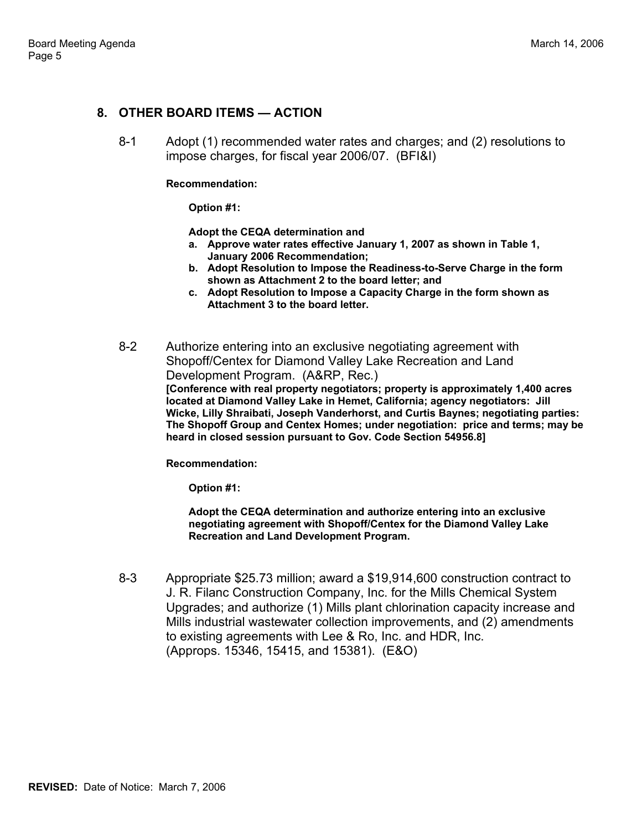#### **8. OTHER BOARD ITEMS — ACTION**

8-1 Adopt (1) recommended water rates and charges; and (2) resolutions to impose charges, for fiscal year 2006/07. (BFI&I)

#### **Recommendation:**

**Option #1:** 

**Adopt the CEQA determination and**

- **a. Approve water rates effective January 1, 2007 as shown in Table 1, January 2006 Recommendation;**
- **b. Adopt Resolution to Impose the Readiness-to-Serve Charge in the form shown as Attachment 2 to the board letter; and**
- **c. Adopt Resolution to Impose a Capacity Charge in the form shown as Attachment 3 to the board letter.**

8-2 Authorize entering into an exclusive negotiating agreement with Shopoff/Centex for Diamond Valley Lake Recreation and Land Development Program. (A&RP, Rec.) **[Conference with real property negotiators; property is approximately 1,400 acres located at Diamond Valley Lake in Hemet, California; agency negotiators: Jill Wicke, Lilly Shraibati, Joseph Vanderhorst, and Curtis Baynes; negotiating parties: The Shopoff Group and Centex Homes; under negotiation: price and terms; may be heard in closed session pursuant to Gov. Code Section 54956.8]**

**Recommendation:** 

**Option #1:** 

**Adopt the CEQA determination and authorize entering into an exclusive negotiating agreement with Shopoff/Centex for the Diamond Valley Lake Recreation and Land Development Program.**

8-3 Appropriate \$25.73 million; award a \$19,914,600 construction contract to J. R. Filanc Construction Company, Inc. for the Mills Chemical System Upgrades; and authorize (1) Mills plant chlorination capacity increase and Mills industrial wastewater collection improvements, and (2) amendments to existing agreements with Lee & Ro, Inc. and HDR, Inc. (Approps. 15346, 15415, and 15381). (E&O)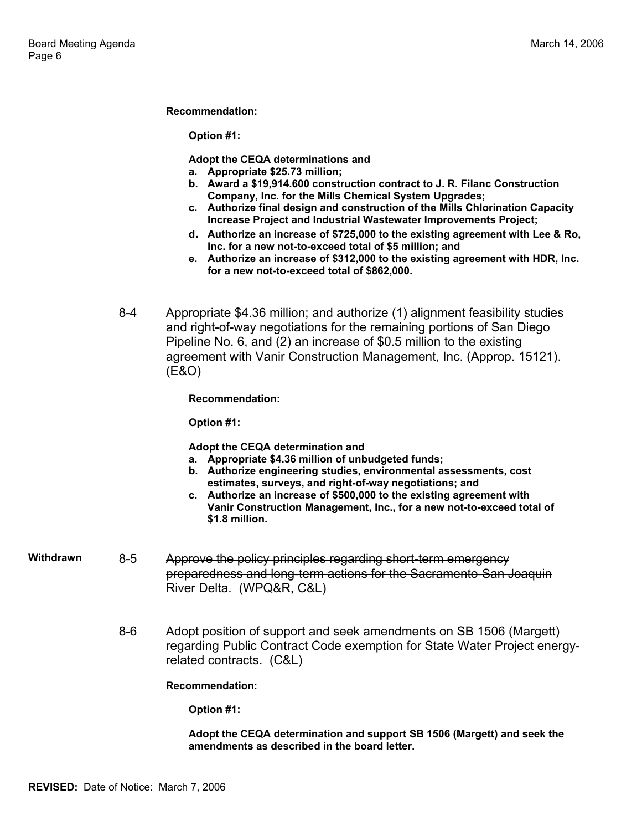#### **Recommendation:**

**Option #1:** 

**Adopt the CEQA determinations and**

- **a. Appropriate \$25.73 million;**
- **b. Award a \$19,914.600 construction contract to J. R. Filanc Construction Company, Inc. for the Mills Chemical System Upgrades;**
- **c. Authorize final design and construction of the Mills Chlorination Capacity Increase Project and Industrial Wastewater Improvements Project;**
- **d. Authorize an increase of \$725,000 to the existing agreement with Lee & Ro, Inc. for a new not-to-exceed total of \$5 million; and**
- **e. Authorize an increase of \$312,000 to the existing agreement with HDR, Inc. for a new not-to-exceed total of \$862,000.**
- 8-4 Appropriate \$4.36 million; and authorize (1) alignment feasibility studies and right-of-way negotiations for the remaining portions of San Diego Pipeline No. 6, and (2) an increase of \$0.5 million to the existing agreement with Vanir Construction Management, Inc. (Approp. 15121). (E&O)

**Recommendation:** 

**Option #1:** 

**Adopt the CEQA determination and** 

- **a. Appropriate \$4.36 million of unbudgeted funds;**
- **b. Authorize engineering studies, environmental assessments, cost estimates, surveys, and right-of-way negotiations; and**
- **c. Authorize an increase of \$500,000 to the existing agreement with Vanir Construction Management, Inc., for a new not-to-exceed total of \$1.8 million.**
- **Withdrawn** 8-5 Approve the policy principles regarding short-term emergency preparedness and long-term actions for the Sacramento-San Joaquin River Delta. (WPQ&R, C&L)
	- 8-6 Adopt position of support and seek amendments on SB 1506 (Margett) regarding Public Contract Code exemption for State Water Project energyrelated contracts. (C&L)

**Recommendation:** 

**Option #1:** 

**Adopt the CEQA determination and support SB 1506 (Margett) and seek the amendments as described in the board letter.**